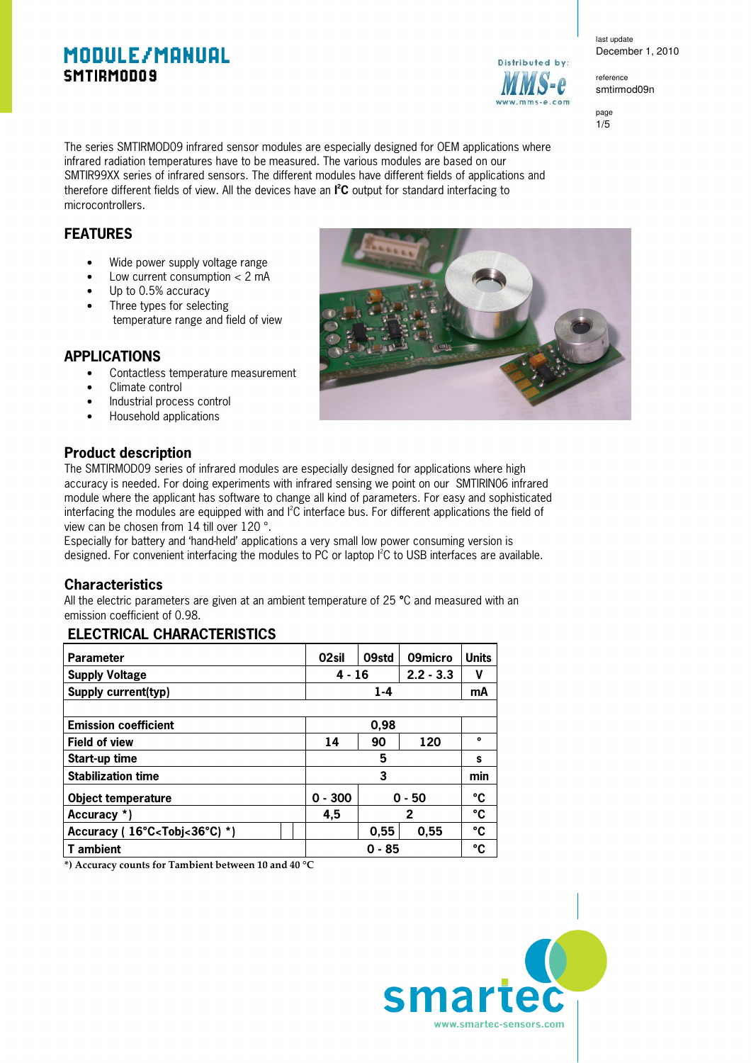# MODULE/MANUAL SMTIRMODO9

last update December 1, 2010

reference smtirmod09n

page 1/5

Distributed by:

The series SMTIRMOD09 infrared sensor modules are especially designed for OEM applications where infrared radiation temperatures have to be measured. The various modules are based on our SMTIR99XX series of infrared sensors. The different modules have different fields of applications and therefore different fields of view. All the devices have an **I <sup>2</sup>C** output for standard interfacing to microcontrollers.

## **FEATURES**

- Wide power supply voltage range
- Low current consumption < 2 mA
- Up to 0.5% accuracy
- Three types for selecting temperature range and field of view

### **APPLICATIONS**

- Contactless temperature measurement
- Climate control
- Industrial process control
- Household applications

## **Product description**

The SMTIRMOD09 series of infrared modules are especially designed for applications where high accuracy is needed. For doing experiments with infrared sensing we point on our SMTIRIN06 infrared module where the applicant has software to change all kind of parameters. For easy and sophisticated interfacing the modules are equipped with and  ${}^pC$  interface bus. For different applications the field of view can be chosen from 14 till over 120 °.

Especially for battery and 'hand-held' applications a very small low power consuming version is designed. For convenient interfacing the modules to PC or laptop I<sup>2</sup>C to USB interfaces are available.

## **Characteristics**

All the electric parameters are given at an ambient temperature of 25 **°**C and measured with an emission coefficient of 0.98.

## **ELECTRICAL CHARACTERISTICS**

| <b>Parameter</b>                                                                                    | 02sil                 | 09std    | 09micro | <b>Units</b> |
|-----------------------------------------------------------------------------------------------------|-----------------------|----------|---------|--------------|
| <b>Supply Voltage</b>                                                                               | 4 - 16<br>$2.2 - 3.3$ |          |         | ν            |
| Supply current(typ)                                                                                 | $1 - 4$               |          |         | mA           |
|                                                                                                     |                       |          |         |              |
| <b>Emission coefficient</b>                                                                         | 0,98                  |          |         |              |
| <b>Field of view</b>                                                                                | 14                    | 90       | 120     | $\circ$      |
| Start-up time                                                                                       | 5                     |          |         | s            |
| <b>Stabilization time</b>                                                                           | 3                     |          |         | min          |
| <b>Object temperature</b>                                                                           | $0 - 300$             | $0 - 50$ |         | °C           |
| Accuracy *)                                                                                         | 4.5                   | 2        |         | °C           |
| Accuracy (16°C <tobj<36°c) *)<="" td=""><td></td><td>0.55</td><td>0.55</td><td>°C</td></tobj<36°c)> |                       | 0.55     | 0.55    | °C           |
| ambient                                                                                             | $0 - 85$              |          |         | °C           |

 $^*$ ) Accuracy counts for Tambient between 10 and 40 °C



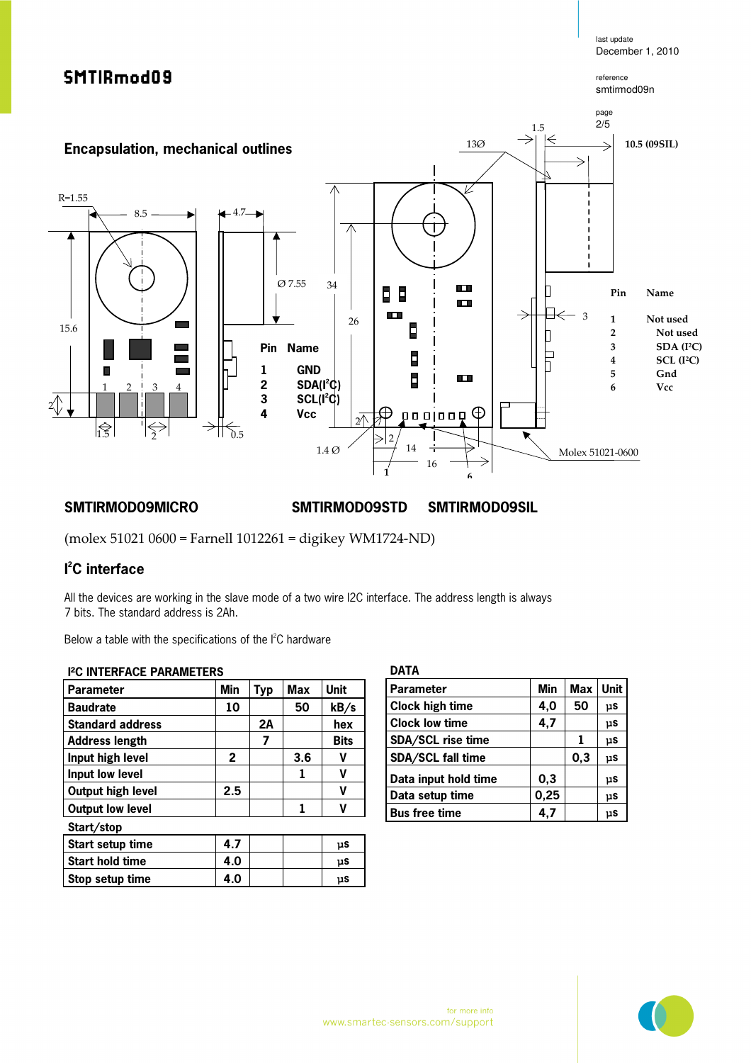

reference smtirmod09n



## **SMTIRMOD09MICRO SMTIRMOD09STD SMTIRMOD09SIL**

(molex 51021 0600 = Farnell 1012261 = digikey WM1724-ND)

## **I <sup>2</sup>C interface**

All the devices are working in the slave mode of a two wire I2C interface. The address length is always 7 bits. The standard address is 2Ah.

Below a table with the specifications of the  $I^2C$  hardware

#### **I²C INTERFACE PARAMETERS**

| <b>Parameter</b>        | Min          | <b>Typ</b> | <b>Max</b> | <b>Unit</b> |
|-------------------------|--------------|------------|------------|-------------|
| <b>Baudrate</b>         | 10           |            | 50         | kB/s        |
| <b>Standard address</b> |              | 2A         |            | hex         |
| <b>Address length</b>   |              | 7          |            | <b>Bits</b> |
| Input high level        | $\mathbf{2}$ |            | 3.6        | v           |
| Input low level         |              |            | 1          | v           |
| Output high level       | 2.5          |            |            | ۷           |
| Output low level        |              |            | 1          | v           |
| Start/stop              |              |            |            |             |
| Start setup time        | 4.7          |            |            | μS          |
| <b>Start hold time</b>  | 4.0          |            |            | μS          |
| Stop setup time         | 4.0          |            |            | μS          |

| ----                     |      |     |             |
|--------------------------|------|-----|-------------|
| <b>Parameter</b>         | Min  | Max | <b>Unit</b> |
| <b>Clock high time</b>   | 4,0  | 50  | μS          |
| <b>Clock low time</b>    | 4,7  |     | μS          |
| <b>SDA/SCL rise time</b> |      | 1   | μS          |
| <b>SDA/SCL fall time</b> |      | 0,3 | μS          |
| Data input hold time     | 0,3  |     | μS          |
| Data setup time          | 0,25 |     | μS          |
| <b>Bus free time</b>     | 4.7  |     | μS          |

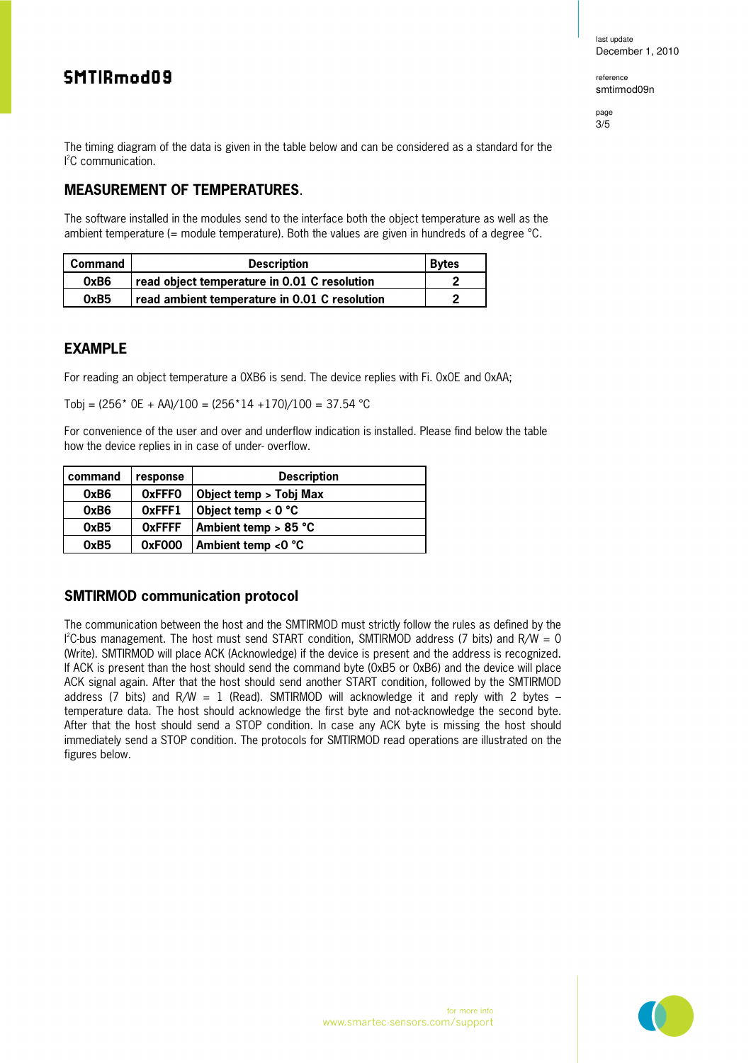last update December 1, 2010

reference smtirmod09n

page 3/5

The timing diagram of the data is given in the table below and can be considered as a standard for the I<sup>2</sup>C communication.

## **MEASUREMENT OF TEMPERATURES**.

The software installed in the modules send to the interface both the object temperature as well as the ambient temperature (= module temperature). Both the values are given in hundreds of a degree °C.

| Command          | <b>Description</b>                            | <b>Bytes</b> |
|------------------|-----------------------------------------------|--------------|
| OxB <sub>6</sub> | read object temperature in 0.01 C resolution  |              |
| 0xB5             | read ambient temperature in 0.01 C resolution |              |

### **EXAMPLE**

For reading an object temperature a 0XB6 is send. The device replies with Fi. 0x0E and 0xAA;

Tobj =  $(256 * 0E + AA)/100 = (256 * 14 + 170)/100 = 37.54 °C$ 

For convenience of the user and over and underflow indication is installed. Please find below the table how the device replies in in case of under- overflow.

| command | response      | <b>Description</b>              |
|---------|---------------|---------------------------------|
| 0xB6    | 0xFFF0        | Object temp > Tobj Max          |
| 0xB6    | OxFFF1        | Object temp $< 0$ °C            |
| 0xB5    | <b>OxFFFF</b> | Ambient temp $> 85 °C$          |
| 0xB5    | 0xF000        | Ambient temp $<$ 0 $^{\circ}$ C |

### **SMTIRMOD communication protocol**

The communication between the host and the SMTIRMOD must strictly follow the rules as defined by the I 2 C-bus management. The host must send START condition, SMTIRMOD address (7 bits) and R/W = 0 (Write). SMTIRMOD will place ACK (Acknowledge) if the device is present and the address is recognized. If ACK is present than the host should send the command byte (0xB5 or 0xB6) and the device will place ACK signal again. After that the host should send another START condition, followed by the SMTIRMOD address (7 bits) and R/W = 1 (Read). SMTIRMOD will acknowledge it and reply with 2 bytes – temperature data. The host should acknowledge the first byte and not-acknowledge the second byte. After that the host should send a STOP condition. In case any ACK byte is missing the host should immediately send a STOP condition. The protocols for SMTIRMOD read operations are illustrated on the figures below.

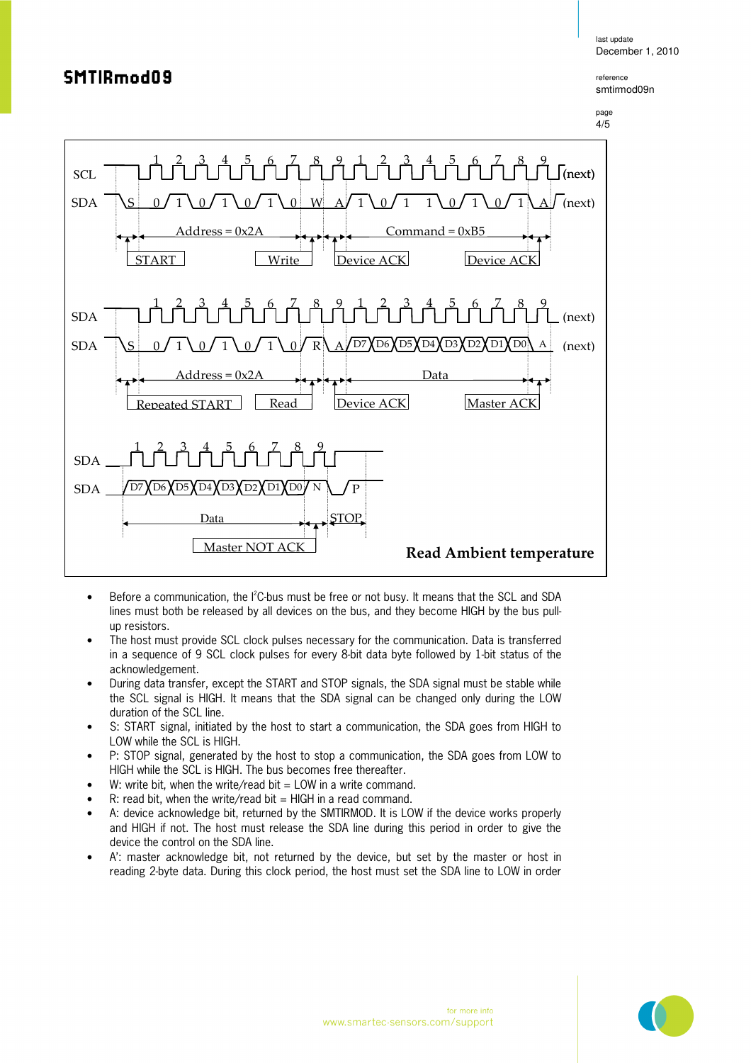reference smtirmod09n





- Before a communication, the I<sup>2</sup>C-bus must be free or not busy. It means that the SCL and SDA lines must both be released by all devices on the bus, and they become HIGH by the bus pullup resistors.
- The host must provide SCL clock pulses necessary for the communication. Data is transferred in a sequence of 9 SCL clock pulses for every 8-bit data byte followed by 1-bit status of the acknowledgement.
- During data transfer, except the START and STOP signals, the SDA signal must be stable while the SCL signal is HIGH. It means that the SDA signal can be changed only during the LOW duration of the SCL line.
- S: START signal, initiated by the host to start a communication, the SDA goes from HIGH to LOW while the SCL is HIGH.
- P: STOP signal, generated by the host to stop a communication, the SDA goes from LOW to HIGH while the SCL is HIGH. The bus becomes free thereafter.
- W: write bit, when the write/read bit  $=$  LOW in a write command.
- $R:$  read bit, when the write/read bit = HIGH in a read command.
- A: device acknowledge bit, returned by the SMTIRMOD. It is LOW if the device works properly and HIGH if not. The host must release the SDA line during this period in order to give the device the control on the SDA line.
- A': master acknowledge bit, not returned by the device, but set by the master or host in reading 2-byte data. During this clock period, the host must set the SDA line to LOW in order